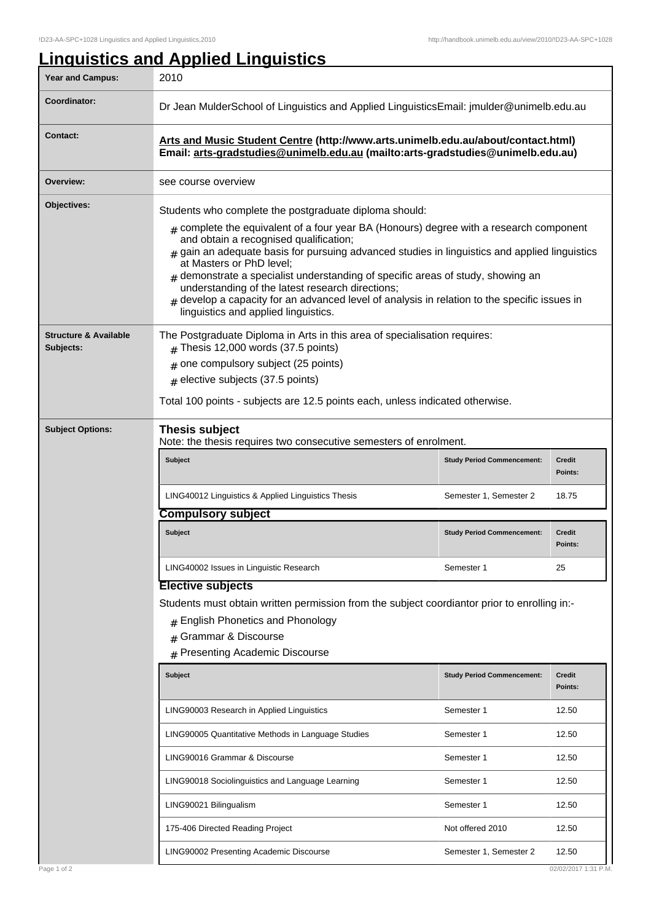## **Linguistics and Applied Linguistics** Year and Campus: 2010 **Coordinator:** Dr Jean MulderSchool of Linguistics and Applied LinguisticsEmail: jmulder@unimelb.edu.au **Contact: Arts and Music Student Centre (http://www.arts.unimelb.edu.au/about/contact.html) Email: arts-gradstudies@unimelb.edu.au (mailto:arts-gradstudies@unimelb.edu.au) Overview:** see course overview **Objectives:** Students who complete the postgraduate diploma should:  ${}_{\#}$  complete the equivalent of a four year BA (Honours) degree with a research component and obtain a recognised qualification; # gain an adequate basis for pursuing advanced studies in linguistics and applied linguistics at Masters or PhD level;  ${}_{\#}$  demonstrate a specialist understanding of specific areas of study, showing an understanding of the latest research directions; # develop a capacity for an advanced level of analysis in relation to the specific issues in linguistics and applied linguistics. **Structure & Available Subjects:** The Postgraduate Diploma in Arts in this area of specialisation requires:  $#$  Thesis 12,000 words (37.5 points)  $_{\rm \#}$  one compulsory subject (25 points)  $_{\rm \#}$  elective subjects (37.5 points) Total 100 points - subjects are 12.5 points each, unless indicated otherwise. **Subject Options: Thesis subject** Note: the thesis requires two consecutive semesters of enrolment. **Subject Study Period Commencement: Credit Points:** LING40012 Linguistics & Applied Linguistics Thesis Semester 1, Semester 2 18.75 **Compulsory subject Subject Study Period Commencement: Credit Points:** LING40002 Issues in Linguistic Research **Semester 1** 25 **Elective subjects** Students must obtain written permission from the subject coordiantor prior to enrolling in:- # English Phonetics and Phonology # Grammar & Discourse # Presenting Academic Discourse **Subject Study Period Commencement: Credit Points:** LING90003 Research in Applied Linguistics **Semester 1** 12.50 LING90005 Quantitative Methods in Language Studies Studies Semester 1 12.50 LING90016 Grammar & Discourse Semester 1 12.50 LING90018 Sociolinguistics and Language Learning Semester 1 12.50 LING90021 Bilingualism and the semi-field of the semi-field semi-field Semester 1 12.50 175-406 Directed Reading Project **Note 12.50** Not offered 2010 12.50

LING90002 Presenting Academic Discourse Semester 1, Semester 2 12.50

## Page 1 of 2 02/02/2017 1:31 P.M.